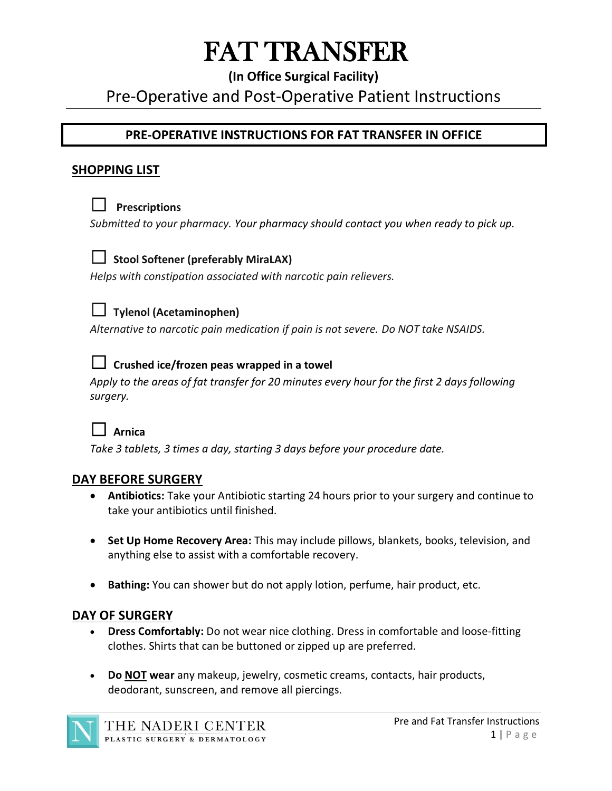# FAT TRANSFER

## **(In Office Surgical Facility)**

## Pre-Operative and Post-Operative Patient Instructions

## **PRE-OPERATIVE INSTRUCTIONS FOR FAT TRANSFER IN OFFICE**

#### **SHOPPING LIST**



### ☐ **Prescriptions**

*Submitted to your pharmacy. Your pharmacy should contact you when ready to pick up.* 



#### ☐ **Stool Softener (preferably MiraLAX)**

*Helps with constipation associated with narcotic pain relievers.*



#### ☐ **Tylenol (Acetaminophen)**

*Alternative to narcotic pain medication if pain is not severe. Do NOT take NSAIDS.*



#### ☐ **Crushed ice/frozen peas wrapped in a towel**

*Apply to the areas of fat transfer for 20 minutes every hour for the first 2 days following surgery.*



*Take 3 tablets, 3 times a day, starting 3 days before your procedure date.*

#### **DAY BEFORE SURGERY**

- **Antibiotics:** Take your Antibiotic starting 24 hours prior to your surgery and continue to take your antibiotics until finished.
- **Set Up Home Recovery Area:** This may include pillows, blankets, books, television, and anything else to assist with a comfortable recovery.
- **Bathing:** You can shower but do not apply lotion, perfume, hair product, etc.

#### **DAY OF SURGERY**

- **Dress Comfortably:** Do not wear nice clothing. Dress in comfortable and loose-fitting clothes. Shirts that can be buttoned or zipped up are preferred.
- **Do NOT wear** any makeup, jewelry, cosmetic creams, contacts, hair products, deodorant, sunscreen, and remove all piercings.

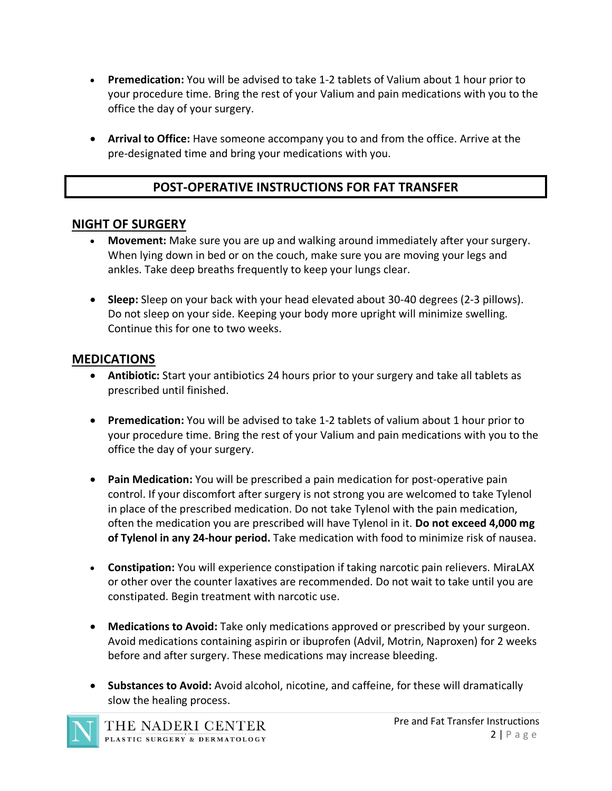- **Premedication:** You will be advised to take 1-2 tablets of Valium about 1 hour prior to your procedure time. Bring the rest of your Valium and pain medications with you to the office the day of your surgery.
- **Arrival to Office:** Have someone accompany you to and from the office. Arrive at the pre-designated time and bring your medications with you.

## **POST-OPERATIVE INSTRUCTIONS FOR FAT TRANSFER**

#### **NIGHT OF SURGERY**

- **Movement:** Make sure you are up and walking around immediately after your surgery. When lying down in bed or on the couch, make sure you are moving your legs and ankles. Take deep breaths frequently to keep your lungs clear.
- **Sleep:** Sleep on your back with your head elevated about 30-40 degrees (2-3 pillows). Do not sleep on your side. Keeping your body more upright will minimize swelling. Continue this for one to two weeks.

#### **MEDICATIONS**

- **Antibiotic:** Start your antibiotics 24 hours prior to your surgery and take all tablets as prescribed until finished.
- **Premedication:** You will be advised to take 1-2 tablets of valium about 1 hour prior to your procedure time. Bring the rest of your Valium and pain medications with you to the office the day of your surgery.
- **Pain Medication:** You will be prescribed a pain medication for post-operative pain control. If your discomfort after surgery is not strong you are welcomed to take Tylenol in place of the prescribed medication. Do not take Tylenol with the pain medication, often the medication you are prescribed will have Tylenol in it. **Do not exceed 4,000 mg of Tylenol in any 24-hour period.** Take medication with food to minimize risk of nausea.
- **Constipation:** You will experience constipation if taking narcotic pain relievers. MiraLAX or other over the counter laxatives are recommended. Do not wait to take until you are constipated. Begin treatment with narcotic use.
- **Medications to Avoid:** Take only medications approved or prescribed by your surgeon. Avoid medications containing aspirin or ibuprofen (Advil, Motrin, Naproxen) for 2 weeks before and after surgery. These medications may increase bleeding.
- **Substances to Avoid:** Avoid alcohol, nicotine, and caffeine, for these will dramatically slow the healing process.

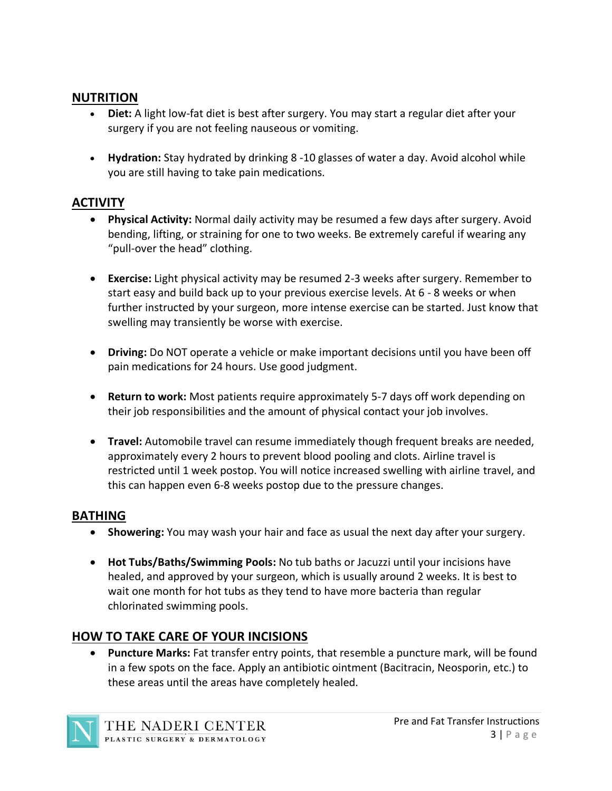#### **NUTRITION**

- **Diet:** A light low-fat diet is best after surgery. You may start a regular diet after your surgery if you are not feeling nauseous or vomiting.
- **Hydration:** Stay hydrated by drinking 8 -10 glasses of water a day. Avoid alcohol while you are still having to take pain medications.

## **ACTIVITY**

- **Physical Activity:** Normal daily activity may be resumed a few days after surgery. Avoid bending, lifting, or straining for one to two weeks. Be extremely careful if wearing any "pull-over the head" clothing.
- **Exercise:** Light physical activity may be resumed 2-3 weeks after surgery. Remember to start easy and build back up to your previous exercise levels. At 6 - 8 weeks or when further instructed by your surgeon, more intense exercise can be started. Just know that swelling may transiently be worse with exercise.
- **Driving:** Do NOT operate a vehicle or make important decisions until you have been off pain medications for 24 hours. Use good judgment.
- **Return to work:** Most patients require approximately 5-7 days off work depending on their job responsibilities and the amount of physical contact your job involves.
- **Travel:** Automobile travel can resume immediately though frequent breaks are needed, approximately every 2 hours to prevent blood pooling and clots. Airline travel is restricted until 1 week postop. You will notice increased swelling with airline travel, and this can happen even 6-8 weeks postop due to the pressure changes.

## **BATHING**

- **Showering:** You may wash your hair and face as usual the next day after your surgery.
- **Hot Tubs/Baths/Swimming Pools:** No tub baths or Jacuzzi until your incisions have healed, and approved by your surgeon, which is usually around 2 weeks. It is best to wait one month for hot tubs as they tend to have more bacteria than regular chlorinated swimming pools.

## **HOW TO TAKE CARE OF YOUR INCISIONS**

• **Puncture Marks:** Fat transfer entry points, that resemble a puncture mark, will be found in a few spots on the face. Apply an antibiotic ointment (Bacitracin, Neosporin, etc.) to these areas until the areas have completely healed.

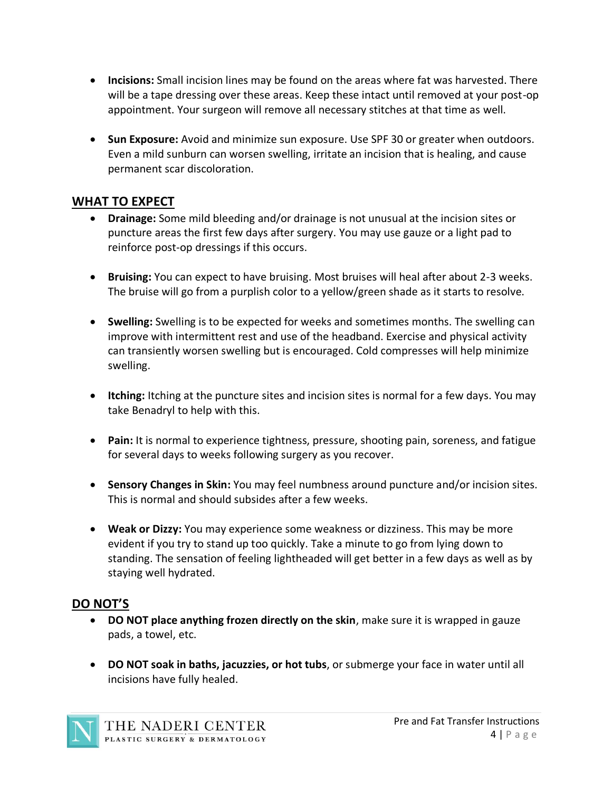- **Incisions:** Small incision lines may be found on the areas where fat was harvested. There will be a tape dressing over these areas. Keep these intact until removed at your post-op appointment. Your surgeon will remove all necessary stitches at that time as well.
- **Sun Exposure:** Avoid and minimize sun exposure. Use SPF 30 or greater when outdoors. Even a mild sunburn can worsen swelling, irritate an incision that is healing, and cause permanent scar discoloration.

### **WHAT TO EXPECT**

- **Drainage:** Some mild bleeding and/or drainage is not unusual at the incision sites or puncture areas the first few days after surgery. You may use gauze or a light pad to reinforce post-op dressings if this occurs.
- **Bruising:** You can expect to have bruising. Most bruises will heal after about 2-3 weeks. The bruise will go from a purplish color to a yellow/green shade as it starts to resolve.
- **Swelling:** Swelling is to be expected for weeks and sometimes months. The swelling can improve with intermittent rest and use of the headband. Exercise and physical activity can transiently worsen swelling but is encouraged. Cold compresses will help minimize swelling.
- **Itching:** Itching at the puncture sites and incision sites is normal for a few days. You may take Benadryl to help with this.
- **Pain:** It is normal to experience tightness, pressure, shooting pain, soreness, and fatigue for several days to weeks following surgery as you recover.
- **Sensory Changes in Skin:** You may feel numbness around puncture and/or incision sites. This is normal and should subsides after a few weeks.
- **Weak or Dizzy:** You may experience some weakness or dizziness. This may be more evident if you try to stand up too quickly. Take a minute to go from lying down to standing. The sensation of feeling lightheaded will get better in a few days as well as by staying well hydrated.

#### **DO NOT'S**

- **DO NOT place anything frozen directly on the skin**, make sure it is wrapped in gauze pads, a towel, etc.
- **DO NOT soak in baths, jacuzzies, or hot tubs**, or submerge your face in water until all incisions have fully healed.